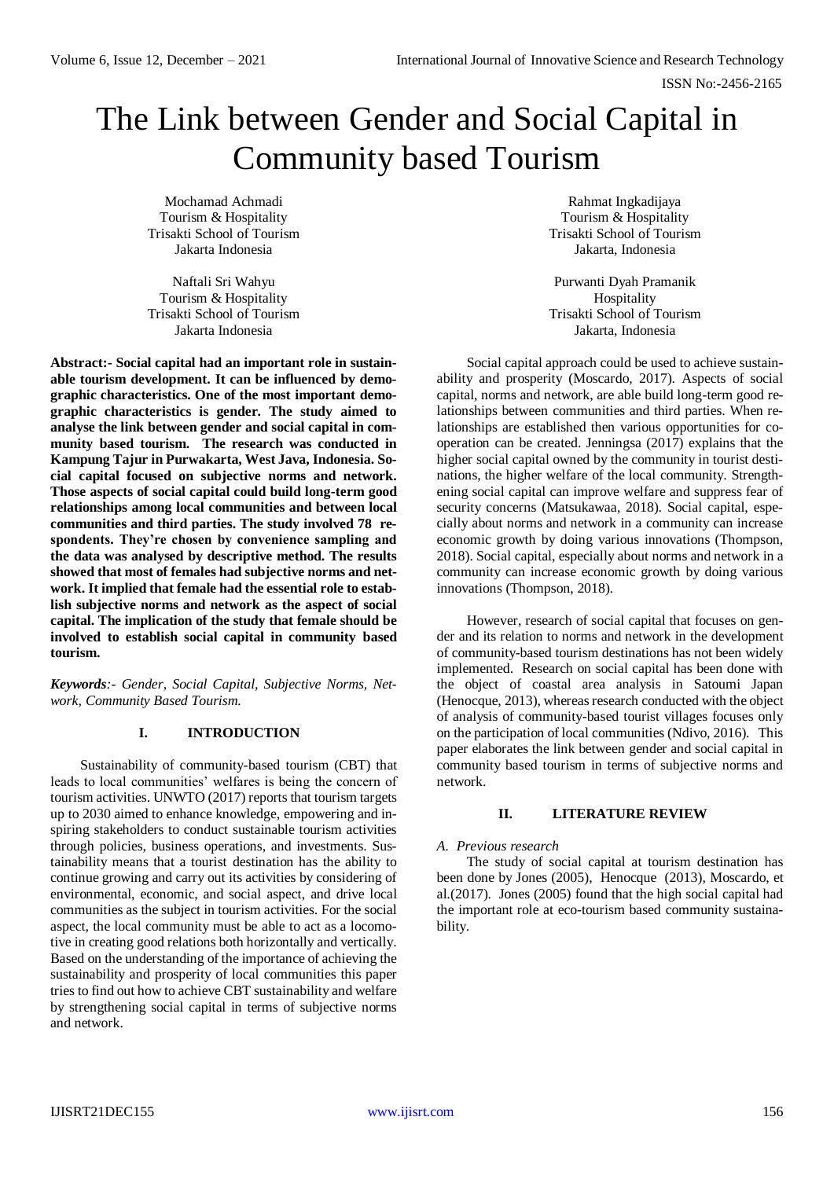# The Link between Gender and Social Capital in Community based Tourism

Mochamad Achmadi Tourism & Hospitality Trisakti School of Tourism Jakarta Indonesia

Naftali Sri Wahyu Tourism & Hospitality Trisakti School of Tourism Jakarta Indonesia

**Abstract:- Social capital had an important role in sustainable tourism development. It can be influenced by demographic characteristics. One of the most important demographic characteristics is gender. The study aimed to analyse the link between gender and social capital in community based tourism. The research was conducted in Kampung Tajur in Purwakarta, West Java, Indonesia. Social capital focused on subjective norms and network. Those aspects of social capital could build long-term good relationships among local communities and between local communities and third parties. The study involved 78 respondents. They're chosen by convenience sampling and the data was analysed by descriptive method. The results showed that most of females had subjective norms and network. It implied that female had the essential role to establish subjective norms and network as the aspect of social capital. The implication of the study that female should be involved to establish social capital in community based tourism.** 

*Keywords:- Gender, Social Capital, Subjective Norms, Network, Community Based Tourism.*

# **I. INTRODUCTION**

Sustainability of community-based tourism (CBT) that leads to local communities' welfares is being the concern of tourism activities. UNWTO (2017) reports that tourism targets up to 2030 aimed to enhance knowledge, empowering and inspiring stakeholders to conduct sustainable tourism activities through policies, business operations, and investments. Sustainability means that a tourist destination has the ability to continue growing and carry out its activities by considering of environmental, economic, and social aspect, and drive local communities as the subject in tourism activities. For the social aspect, the local community must be able to act as a locomotive in creating good relations both horizontally and vertically. Based on the understanding of the importance of achieving the sustainability and prosperity of local communities this paper tries to find out how to achieve CBT sustainability and welfare by strengthening social capital in terms of subjective norms and network.

Rahmat Ingkadijaya Tourism & Hospitality Trisakti School of Tourism Jakarta, Indonesia

Purwanti Dyah Pramanik Hospitality Trisakti School of Tourism Jakarta, Indonesia

Social capital approach could be used to achieve sustainability and prosperity (Moscardo, 2017). Aspects of social capital, norms and network, are able build long-term good relationships between communities and third parties. When relationships are established then various opportunities for cooperation can be created. Jenningsa (2017) explains that the higher social capital owned by the community in tourist destinations, the higher welfare of the local community. Strengthening social capital can improve welfare and suppress fear of security concerns (Matsukawaa, 2018). Social capital, especially about norms and network in a community can increase economic growth by doing various innovations (Thompson, 2018). Social capital, especially about norms and network in a community can increase economic growth by doing various innovations (Thompson, 2018).

However, research of social capital that focuses on gender and its relation to norms and network in the development of community-based tourism destinations has not been widely implemented. Research on social capital has been done with the object of coastal area analysis in Satoumi Japan (Henocque, 2013), whereas research conducted with the object of analysis of community-based tourist villages focuses only on the participation of local communities (Ndivo, 2016). This paper elaborates the link between gender and social capital in community based tourism in terms of subjective norms and network.

## **II. LITERATURE REVIEW**

## *A. Previous research*

The study of social capital at tourism destination has been done by Jones (2005), Henocque (2013), Moscardo, et al.(2017). Jones (2005) found that the high social capital had the important role at eco-tourism based community sustainability.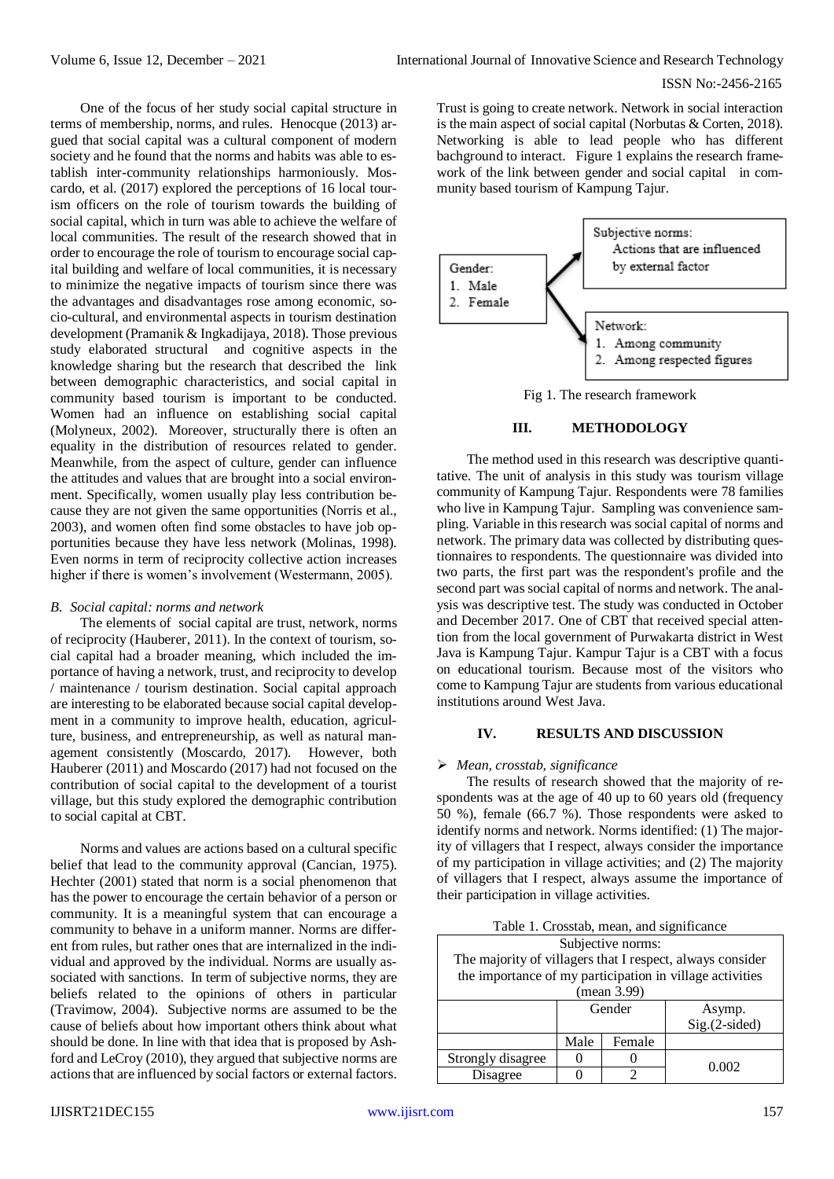One of the focus of her study social capital structure in terms of membership, norms, and rules. Henocque (2013) argued that social capital was a cultural component of modern society and he found that the norms and habits was able to establish inter-community relationships harmoniously. Moscardo, et al. (2017) explored the perceptions of 16 local tourism officers on the role of tourism towards the building of social capital, which in turn was able to achieve the welfare of local communities. The result of the research showed that in order to encourage the role of tourism to encourage social capital building and welfare of local communities, it is necessary to minimize the negative impacts of tourism since there was the advantages and disadvantages rose among economic, socio-cultural, and environmental aspects in tourism destination development (Pramanik & Ingkadijaya, 2018). Those previous study elaborated structural and cognitive aspects in the knowledge sharing but the research that described the link between demographic characteristics, and social capital in community based tourism is important to be conducted. Women had an influence on establishing social capital (Molyneux, 2002). Moreover, structurally there is often an equality in the distribution of resources related to gender. Meanwhile, from the aspect of culture, gender can influence the attitudes and values that are brought into a social environment. Specifically, women usually play less contribution because they are not given the same opportunities (Norris et al., 2003), and women often find some obstacles to have job opportunities because they have less network (Molinas, 1998). Even norms in term of reciprocity collective action increases higher if there is women's involvement (Westermann, 2005).

#### *B. Social capital: norms and network*

The elements of social capital are trust, network, norms of reciprocity (Hauberer, 2011). In the context of tourism, social capital had a broader meaning, which included the importance of having a network, trust, and reciprocity to develop / maintenance / tourism destination. Social capital approach are interesting to be elaborated because social capital development in a community to improve health, education, agriculture, business, and entrepreneurship, as well as natural management consistently (Moscardo, 2017). However, both Hauberer (2011) and Moscardo (2017) had not focused on the contribution of social capital to the development of a tourist village, but this study explored the demographic contribution to social capital at CBT.

Norms and values are actions based on a cultural specific belief that lead to the community approval (Cancian, 1975). Hechter (2001) stated that norm is a social phenomenon that has the power to encourage the certain behavior of a person or community. It is a meaningful system that can encourage a community to behave in a uniform manner. Norms are different from rules, but rather ones that are internalized in the individual and approved by the individual. Norms are usually associated with sanctions. In term of subjective norms, they are beliefs related to the opinions of others in particular (Travimow, 2004). Subjective norms are assumed to be the cause of beliefs about how important others think about what should be done. In line with that idea that is proposed by Ashford and LeCroy (2010), they argued that subjective norms are actions that are influenced by social factors or external factors. Trust is going to create network. Network in social interaction is the main aspect of social capital (Norbutas & Corten, 2018). Networking is able to lead people who has different bachground to interact. Figure 1 explains the research framework of the link between gender and social capital in community based tourism of Kampung Tajur.



### **III. METHODOLOGY**

The method used in this research was descriptive quantitative. The unit of analysis in this study was tourism village community of Kampung Tajur. Respondents were 78 families who live in Kampung Tajur. Sampling was convenience sampling. Variable in this research was social capital of norms and network. The primary data was collected by distributing questionnaires to respondents. The questionnaire was divided into two parts, the first part was the respondent's profile and the second part was social capital of norms and network. The analysis was descriptive test. The study was conducted in October and December 2017. One of CBT that received special attention from the local government of Purwakarta district in West Java is Kampung Tajur. Kampur Tajur is a CBT with a focus on educational tourism. Because most of the visitors who come to Kampung Tajur are students from various educational institutions around West Java.

# **IV. RESULTS AND DISCUSSION**

#### *Mean, crosstab, significance*

The results of research showed that the majority of respondents was at the age of 40 up to 60 years old (frequency 50 %), female (66.7 %). Those respondents were asked to identify norms and network. Norms identified: (1) The majority of villagers that I respect, always consider the importance of my participation in village activities; and (2) The majority of villagers that I respect, always assume the importance of their participation in village activities.

| Table 1. Crosstab, mean, and significance |  |  |  |  |  |  |
|-------------------------------------------|--|--|--|--|--|--|
|-------------------------------------------|--|--|--|--|--|--|

| Subjective norms:                                         |        |        |                 |  |  |  |  |  |  |
|-----------------------------------------------------------|--------|--------|-----------------|--|--|--|--|--|--|
| The majority of villagers that I respect, always consider |        |        |                 |  |  |  |  |  |  |
| the importance of my participation in village activities  |        |        |                 |  |  |  |  |  |  |
| (mean 3.99)                                               |        |        |                 |  |  |  |  |  |  |
|                                                           | Gender |        | Asymp.          |  |  |  |  |  |  |
|                                                           |        |        | $Sig.(2-sided)$ |  |  |  |  |  |  |
|                                                           | Male   | Female |                 |  |  |  |  |  |  |
| Strongly disagree                                         |        |        | 0.002           |  |  |  |  |  |  |
| Disagree                                                  |        |        |                 |  |  |  |  |  |  |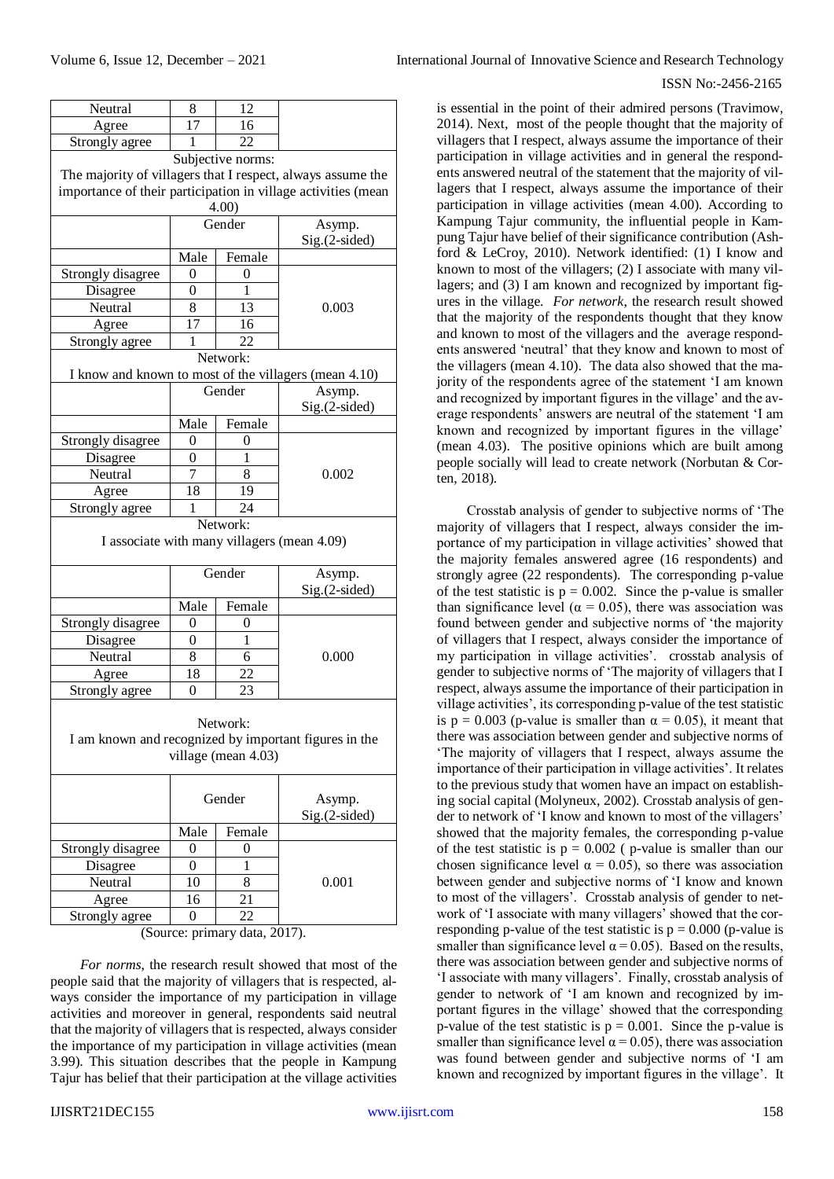| Neutral                                        | 8              | 12                  |                                                               |  |  |  |  |  |
|------------------------------------------------|----------------|---------------------|---------------------------------------------------------------|--|--|--|--|--|
| Agree                                          | 17             | 16                  |                                                               |  |  |  |  |  |
| 22<br>Strongly agree<br>1<br>Subjective norms: |                |                     |                                                               |  |  |  |  |  |
|                                                |                |                     |                                                               |  |  |  |  |  |
|                                                |                |                     | The majority of villagers that I respect, always assume the   |  |  |  |  |  |
|                                                |                |                     | importance of their participation in village activities (mean |  |  |  |  |  |
| 4.00)<br>Gender                                |                |                     |                                                               |  |  |  |  |  |
|                                                |                |                     | Asymp.<br>Sig.(2-sided)                                       |  |  |  |  |  |
|                                                | Male           | Female              |                                                               |  |  |  |  |  |
| Strongly disagree                              | 0              | 0                   |                                                               |  |  |  |  |  |
| Disagree                                       | $\overline{0}$ | 1                   |                                                               |  |  |  |  |  |
| Neutral                                        | 8              | 13                  | 0.003                                                         |  |  |  |  |  |
| Agree                                          | 17             | 16                  |                                                               |  |  |  |  |  |
| Strongly agree                                 | 1              | 22                  |                                                               |  |  |  |  |  |
|                                                |                | Network:            |                                                               |  |  |  |  |  |
|                                                |                |                     | I know and known to most of the villagers (mean 4.10)         |  |  |  |  |  |
|                                                |                | Gender              | Asymp.                                                        |  |  |  |  |  |
|                                                |                |                     | $Sig.(2-sided)$                                               |  |  |  |  |  |
|                                                | Male           | Female              |                                                               |  |  |  |  |  |
| Strongly disagree                              | 0              | 0                   |                                                               |  |  |  |  |  |
| Disagree                                       | 0              | 1                   |                                                               |  |  |  |  |  |
| Neutral                                        | 7              | 8                   | 0.002                                                         |  |  |  |  |  |
| Agree                                          | 18             | 19                  |                                                               |  |  |  |  |  |
| Strongly agree                                 | 1              | 24                  |                                                               |  |  |  |  |  |
| Network:                                       |                |                     |                                                               |  |  |  |  |  |
|                                                |                |                     | I associate with many villagers (mean 4.09)                   |  |  |  |  |  |
|                                                |                | Gender              | Asymp.                                                        |  |  |  |  |  |
|                                                |                |                     | Sig.(2-sided)                                                 |  |  |  |  |  |
|                                                | Male           | Female              |                                                               |  |  |  |  |  |
| Strongly disagree                              | 0              | 0                   |                                                               |  |  |  |  |  |
| Disagree                                       | 0              | 1                   |                                                               |  |  |  |  |  |
| Neutral                                        | 8              | 6                   | 0.000                                                         |  |  |  |  |  |
| Agree                                          | 18             | 22                  |                                                               |  |  |  |  |  |
| Strongly agree                                 | $\overline{0}$ | 23                  |                                                               |  |  |  |  |  |
|                                                |                |                     |                                                               |  |  |  |  |  |
|                                                |                | Network:            |                                                               |  |  |  |  |  |
|                                                |                |                     | I am known and recognized by important figures in the         |  |  |  |  |  |
|                                                |                | village (mean 4.03) |                                                               |  |  |  |  |  |
|                                                |                |                     |                                                               |  |  |  |  |  |
|                                                | Gender         |                     | Asymp.                                                        |  |  |  |  |  |
|                                                |                |                     | Sig.(2-sided)                                                 |  |  |  |  |  |
|                                                | Male           | Female              |                                                               |  |  |  |  |  |
| Strongly disagree                              | 0              | 0                   |                                                               |  |  |  |  |  |
| Disagree                                       | 0              | 1                   |                                                               |  |  |  |  |  |
| Neutral                                        | 10             | 8                   | 0.001                                                         |  |  |  |  |  |
| Agree                                          | 16             | 21                  |                                                               |  |  |  |  |  |
| Strongly agree                                 | $\theta$       | 22                  |                                                               |  |  |  |  |  |
|                                                |                |                     |                                                               |  |  |  |  |  |

*For norms*, the research result showed that most of the people said that the majority of villagers that is respected, always consider the importance of my participation in village activities and moreover in general, respondents said neutral that the majority of villagers that is respected, always consider the importance of my participation in village activities (mean 3.99). This situation describes that the people in Kampung Tajur has belief that their participation at the village activities

# ISSN No:-2456-2165

is essential in the point of their admired persons (Travimow, 2014). Next, most of the people thought that the majority of villagers that I respect, always assume the importance of their participation in village activities and in general the respondents answered neutral of the statement that the majority of villagers that I respect, always assume the importance of their participation in village activities (mean 4.00). According to Kampung Tajur community, the influential people in Kampung Tajur have belief of their significance contribution (Ashford & LeCroy, 2010). Network identified: (1) I know and known to most of the villagers; (2) I associate with many villagers; and (3) I am known and recognized by important figures in the village. *For network*, the research result showed that the majority of the respondents thought that they know and known to most of the villagers and the average respondents answered 'neutral' that they know and known to most of the villagers (mean 4.10). The data also showed that the majority of the respondents agree of the statement 'I am known and recognized by important figures in the village' and the average respondents' answers are neutral of the statement 'I am known and recognized by important figures in the village' (mean 4.03). The positive opinions which are built among people socially will lead to create network (Norbutan & Corten, 2018).

Crosstab analysis of gender to subjective norms of 'The majority of villagers that I respect, always consider the importance of my participation in village activities' showed that the majority females answered agree (16 respondents) and strongly agree (22 respondents). The corresponding p-value of the test statistic is  $p = 0.002$ . Since the p-value is smaller than significance level ( $\alpha = 0.05$ ), there was association was found between gender and subjective norms of 'the majority of villagers that I respect, always consider the importance of my participation in village activities'. crosstab analysis of gender to subjective norms of 'The majority of villagers that I respect, always assume the importance of their participation in village activities', its corresponding p-value of the test statistic is  $p = 0.003$  (p-value is smaller than  $\alpha = 0.05$ ), it meant that there was association between gender and subjective norms of 'The majority of villagers that I respect, always assume the importance of their participation in village activities'. It relates to the previous study that women have an impact on establishing social capital (Molyneux, 2002). Crosstab analysis of gender to network of 'I know and known to most of the villagers' showed that the majority females, the corresponding p-value of the test statistic is  $p = 0.002$  ( p-value is smaller than our chosen significance level  $\alpha = 0.05$ ), so there was association between gender and subjective norms of 'I know and known to most of the villagers'. Crosstab analysis of gender to network of 'I associate with many villagers' showed that the corresponding p-value of the test statistic is  $p = 0.000$  (p-value is smaller than significance level  $\alpha = 0.05$ ). Based on the results, there was association between gender and subjective norms of 'I associate with many villagers'. Finally, crosstab analysis of gender to network of 'I am known and recognized by important figures in the village' showed that the corresponding p-value of the test statistic is  $p = 0.001$ . Since the p-value is smaller than significance level  $\alpha$  = 0.05), there was association was found between gender and subjective norms of 'I am known and recognized by important figures in the village'. It